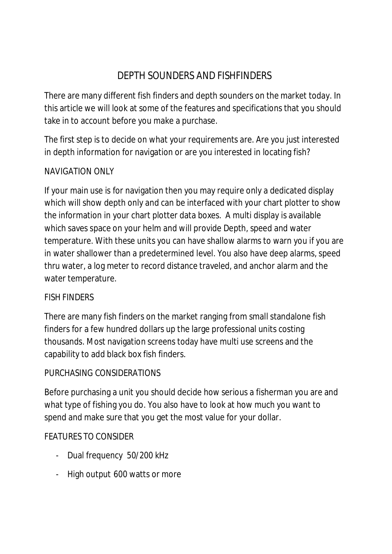# DEPTH SOUNDERS AND FISHFINDERS

There are many different fish finders and depth sounders on the market today. In this article we will look at some of the features and specifications that you should take in to account before you make a purchase.

The first step is to decide on what your requirements are. Are you just interested in depth information for navigation or are you interested in locating fish?

## NAVIGATION ONLY

If your main use is for navigation then you may require only a dedicated display which will show depth only and can be interfaced with your chart plotter to show the information in your chart plotter data boxes. A multi display is available which saves space on your helm and will provide Depth, speed and water temperature. With these units you can have shallow alarms to warn you if you are in water shallower than a predetermined level. You also have deep alarms, speed thru water, a log meter to record distance traveled, and anchor alarm and the water temperature.

# FISH FINDERS

There are many fish finders on the market ranging from small standalone fish finders for a few hundred dollars up the large professional units costing thousands. Most navigation screens today have multi use screens and the capability to add black box fish finders.

# PURCHASING CONSIDERATIONS

Before purchasing a unit you should decide how serious a fisherman you are and what type of fishing you do. You also have to look at how much you want to spend and make sure that you get the most value for your dollar.

# FEATURES TO CONSIDER

- Dual frequency 50/200 kHz
- High output 600 watts or more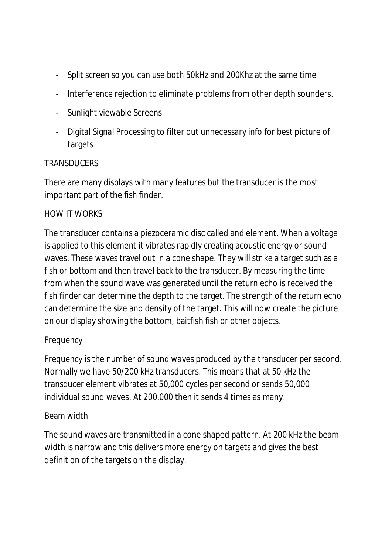- Split screen so you can use both 50kHz and 200Khz at the same time
- Interference rejection to eliminate problems from other depth sounders.
- Sunlight viewable Screens
- Digital Signal Processing to filter out unnecessary info for best picture of targets

## TRANSDUCERS

There are many displays with many features but the transducer is the most important part of the fish finder.

## HOW IT WORKS

The transducer contains a piezoceramic disc called and element. When a voltage is applied to this element it vibrates rapidly creating acoustic energy or sound waves. These waves travel out in a cone shape. They will strike a target such as a fish or bottom and then travel back to the transducer. By measuring the time from when the sound wave was generated until the return echo is received the fish finder can determine the depth to the target. The strength of the return echo can determine the size and density of the target. This will now create the picture on our display showing the bottom, baitfish fish or other objects.

# Frequency

Frequency is the number of sound waves produced by the transducer per second. Normally we have 50/200 kHz transducers. This means that at 50 kHz the transducer element vibrates at 50,000 cycles per second or sends 50,000 individual sound waves. At 200,000 then it sends 4 times as many.

#### Beam width

The sound waves are transmitted in a cone shaped pattern. At 200 kHz the beam width is narrow and this delivers more energy on targets and gives the best definition of the targets on the display.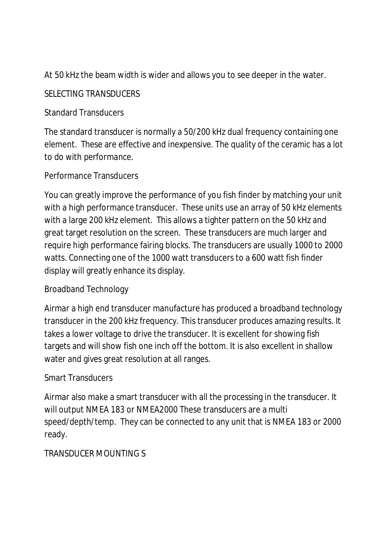At 50 kHz the beam width is wider and allows you to see deeper in the water.

#### SELECTING TRANSDUCERS

## Standard Transducers

The standard transducer is normally a 50/200 kHz dual frequency containing one element. These are effective and inexpensive. The quality of the ceramic has a lot to do with performance.

## Performance Transducers

You can greatly improve the performance of you fish finder by matching your unit with a high performance transducer. These units use an array of 50 kHz elements with a large 200 kHz element. This allows a tighter pattern on the 50 kHz and great target resolution on the screen. These transducers are much larger and require high performance fairing blocks. The transducers are usually 1000 to 2000 watts. Connecting one of the 1000 watt transducers to a 600 watt fish finder display will greatly enhance its display.

#### Broadband Technology

Airmar a high end transducer manufacture has produced a broadband technology transducer in the 200 kHz frequency. This transducer produces amazing results. It takes a lower voltage to drive the transducer. It is excellent for showing fish targets and will show fish one inch off the bottom. It is also excellent in shallow water and gives great resolution at all ranges.

#### Smart Transducers

Airmar also make a smart transducer with all the processing in the transducer. It will output NMEA 183 or NMEA2000 These transducers are a multi speed/depth/temp. They can be connected to any unit that is NMEA 183 or 2000 ready.

# TRANSDUCER MOUNTING S